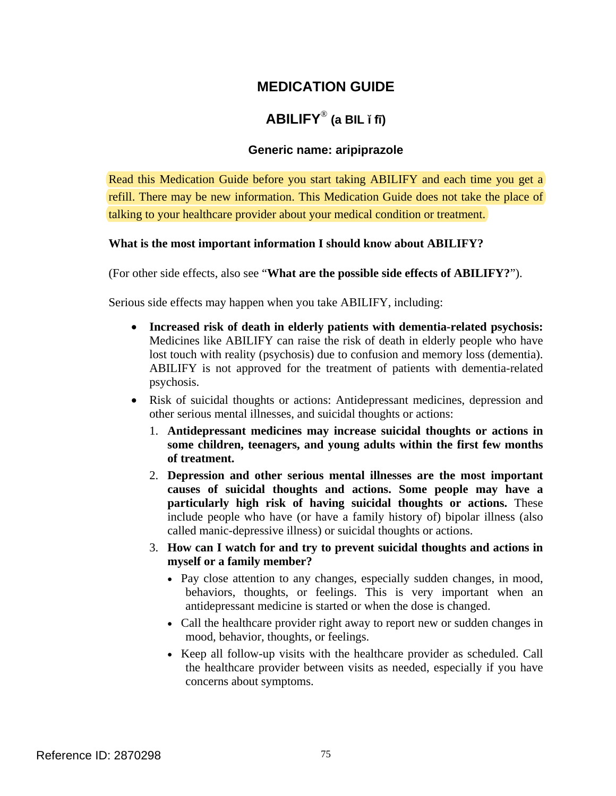# **MEDICATION GUIDE**

# **ABILIFY**® **(a BIL ĭ fī)**

### **Generic name: aripiprazole**

Read this Medication Guide before you start taking ABILIFY and each time you get a refill. There may be new information. This Medication Guide does not take the place of talking to your healthcare provider about your medical condition or treatment.

### **What is the most important information I should know about ABILIFY?**

(For other side effects, also see "**What are the possible side effects of ABILIFY?**").

Serious side effects may happen when you take ABILIFY, including:

- • **Increased risk of death in elderly patients with dementia-related psychosis:**  Medicines like ABILIFY can raise the risk of death in elderly people who have lost touch with reality (psychosis) due to confusion and memory loss (dementia). ABILIFY is not approved for the treatment of patients with dementia-related psychosis.
- Risk of suicidal thoughts or actions: Antidepressant medicines, depression and other serious mental illnesses, and suicidal thoughts or actions:
	- 1. **Antidepressant medicines may increase suicidal thoughts or actions in some children, teenagers, and young adults within the first few months of treatment.**
	- 2. **Depression and other serious mental illnesses are the most important causes of suicidal thoughts and actions. Some people may have a particularly high risk of having suicidal thoughts or actions.** These include people who have (or have a family history of) bipolar illness (also called manic-depressive illness) or suicidal thoughts or actions.
	- 3. **How can I watch for and try to prevent suicidal thoughts and actions in myself or a family member?** 
		- Pay close attention to any changes, especially sudden changes, in mood, behaviors, thoughts, or feelings. This is very important when an antidepressant medicine is started or when the dose is changed.
		- Call the healthcare provider right away to report new or sudden changes in mood, behavior, thoughts, or feelings.
		- Keep all follow-up visits with the healthcare provider as scheduled. Call the healthcare provider between visits as needed, especially if you have concerns about symptoms.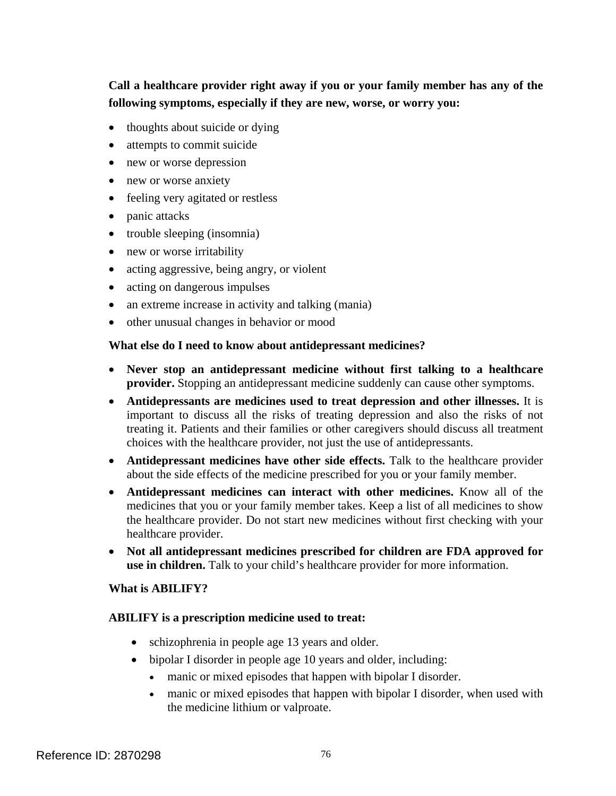**Call a healthcare provider right away if you or your family member has any of the following symptoms, especially if they are new, worse, or worry you:** 

- thoughts about suicide or dying
- attempts to commit suicide
- new or worse depression
- new or worse anxiety
- feeling very agitated or restless
- panic attacks
- trouble sleeping (insomnia)
- new or worse irritability
- acting aggressive, being angry, or violent
- acting on dangerous impulses
- an extreme increase in activity and talking (mania)
- other unusual changes in behavior or mood

### **What else do I need to know about antidepressant medicines?**

- • **Never stop an antidepressant medicine without first talking to a healthcare provider.** Stopping an antidepressant medicine suddenly can cause other symptoms.
- • **Antidepressants are medicines used to treat depression and other illnesses.** It is important to discuss all the risks of treating depression and also the risks of not treating it. Patients and their families or other caregivers should discuss all treatment choices with the healthcare provider, not just the use of antidepressants.
- **Antidepressant medicines have other side effects.** Talk to the healthcare provider about the side effects of the medicine prescribed for you or your family member.
- • **Antidepressant medicines can interact with other medicines.** Know all of the medicines that you or your family member takes. Keep a list of all medicines to show the healthcare provider. Do not start new medicines without first checking with your healthcare provider.
- • **Not all antidepressant medicines prescribed for children are FDA approved for use in children.** Talk to your child's healthcare provider for more information.

### **What is ABILIFY?**

### **ABILIFY is a prescription medicine used to treat:**

- schizophrenia in people age 13 years and older.
- bipolar I disorder in people age 10 years and older, including:
	- manic or mixed episodes that happen with bipolar I disorder.
	- manic or mixed episodes that happen with bipolar I disorder, when used with the medicine lithium or valproate.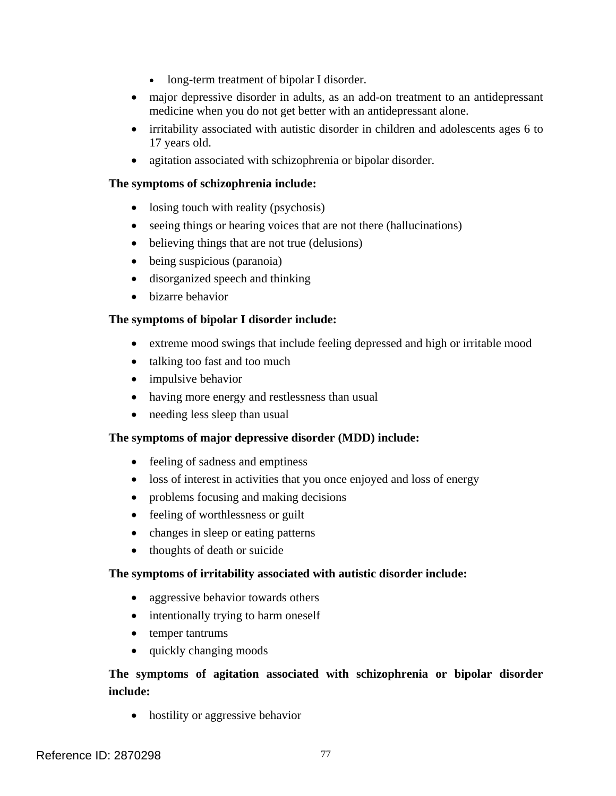- long-term treatment of bipolar I disorder.
- major depressive disorder in adults, as an add-on treatment to an antidepressant medicine when you do not get better with an antidepressant alone.
- irritability associated with autistic disorder in children and adolescents ages 6 to 17 years old.
- agitation associated with schizophrenia or bipolar disorder.

### **The symptoms of schizophrenia include:**

- losing touch with reality (psychosis)
- seeing things or hearing voices that are not there (hallucinations)
- believing things that are not true (delusions)
- being suspicious (paranoia)
- disorganized speech and thinking
- bizarre behavior

### **The symptoms of bipolar I disorder include:**

- extreme mood swings that include feeling depressed and high or irritable mood
- talking too fast and too much
- impulsive behavior
- having more energy and restlessness than usual
- needing less sleep than usual

### **The symptoms of major depressive disorder (MDD) include:**

- feeling of sadness and emptiness
- loss of interest in activities that you once enjoyed and loss of energy
- problems focusing and making decisions
- feeling of worthlessness or guilt
- changes in sleep or eating patterns
- thoughts of death or suicide

### **The symptoms of irritability associated with autistic disorder include:**

- aggressive behavior towards others
- intentionally trying to harm oneself
- temper tantrums
- quickly changing moods

## **The symptoms of agitation associated with schizophrenia or bipolar disorder include:**

• hostility or aggressive behavior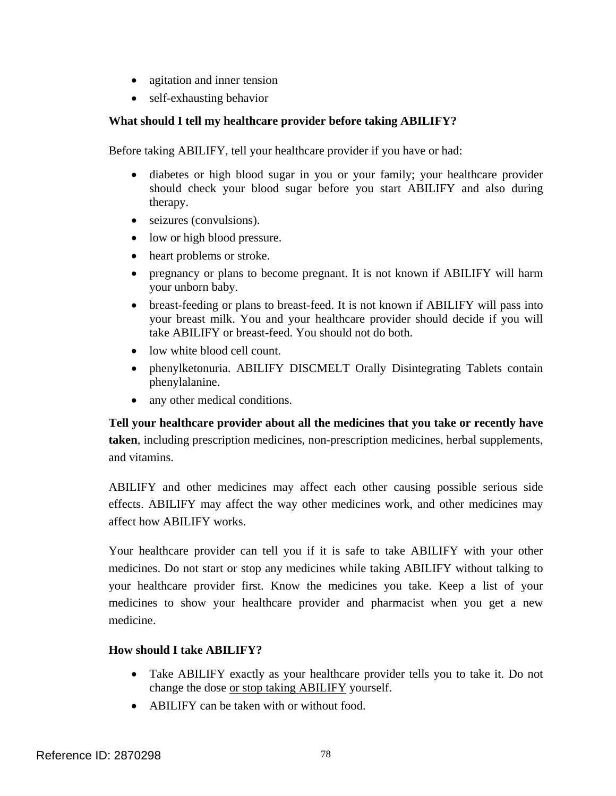- agitation and inner tension
- self-exhausting behavior

### **What should I tell my healthcare provider before taking ABILIFY?**

Before taking ABILIFY, tell your healthcare provider if you have or had:

- diabetes or high blood sugar in you or your family; your healthcare provider should check your blood sugar before you start ABILIFY and also during therapy.
- seizures (convulsions).
- low or high blood pressure.
- heart problems or stroke.
- pregnancy or plans to become pregnant. It is not known if ABILIFY will harm your unborn baby.
- breast-feeding or plans to breast-feed. It is not known if ABILIFY will pass into your breast milk. You and your healthcare provider should decide if you will take ABILIFY or breast-feed. You should not do both.
- low white blood cell count.
- phenylketonuria. ABILIFY DISCMELT Orally Disintegrating Tablets contain phenylalanine.
- any other medical conditions.

**Tell your healthcare provider about all the medicines that you take or recently have taken**, including prescription medicines, non-prescription medicines, herbal supplements, and vitamins.

ABILIFY and other medicines may affect each other causing possible serious side effects. ABILIFY may affect the way other medicines work, and other medicines may affect how ABILIFY works.

Your healthcare provider can tell you if it is safe to take ABILIFY with your other medicines. Do not start or stop any medicines while taking ABILIFY without talking to your healthcare provider first. Know the medicines you take. Keep a list of your medicines to show your healthcare provider and pharmacist when you get a new medicine.

### **How should I take ABILIFY?**

- Take ABILIFY exactly as your healthcare provider tells you to take it. Do not change the dose or stop taking ABILIFY yourself.
- ABILIFY can be taken with or without food.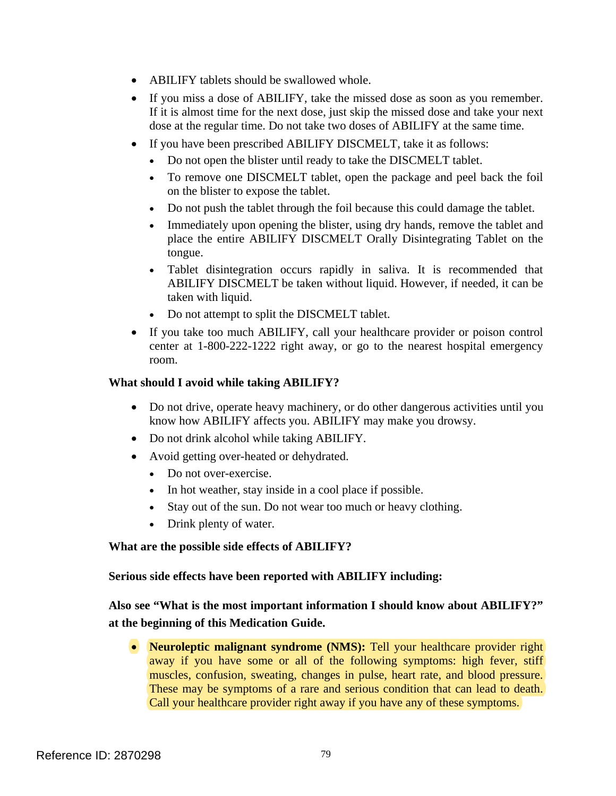- ABILIFY tablets should be swallowed whole.
- If you miss a dose of ABILIFY, take the missed dose as soon as you remember. If it is almost time for the next dose, just skip the missed dose and take your next dose at the regular time. Do not take two doses of ABILIFY at the same time.
- If you have been prescribed ABILIFY DISCMELT, take it as follows:
	- Do not open the blister until ready to take the DISCMELT tablet.
	- To remove one DISCMELT tablet, open the package and peel back the foil on the blister to expose the tablet.
	- Do not push the tablet through the foil because this could damage the tablet.
	- Immediately upon opening the blister, using dry hands, remove the tablet and place the entire ABILIFY DISCMELT Orally Disintegrating Tablet on the tongue.
	- Tablet disintegration occurs rapidly in saliva. It is recommended that ABILIFY DISCMELT be taken without liquid. However, if needed, it can be taken with liquid.
	- Do not attempt to split the DISCMELT tablet.
- If you take too much ABILIFY, call your healthcare provider or poison control center at 1-800-222-1222 right away, or go to the nearest hospital emergency room.

### **What should I avoid while taking ABILIFY?**

- Do not drive, operate heavy machinery, or do other dangerous activities until you know how ABILIFY affects you. ABILIFY may make you drowsy.
- Do not drink alcohol while taking ABILIFY.
- Avoid getting over-heated or dehydrated.
	- Do not over-exercise.
	- In hot weather, stay inside in a cool place if possible.
	- Stay out of the sun. Do not wear too much or heavy clothing.
	- Drink plenty of water.

### **What are the possible side effects of ABILIFY?**

### **Serious side effects have been reported with ABILIFY including:**

## **Also see "What is the most important information I should know about ABILIFY?" at the beginning of this Medication Guide.**

• **Neuroleptic malignant syndrome (NMS):** Tell your healthcare provider right away if you have some or all of the following symptoms: high fever, stiff muscles, confusion, sweating, changes in pulse, heart rate, and blood pressure. These may be symptoms of a rare and serious condition that can lead to death. Call your healthcare provider right away if you have any of these symptoms.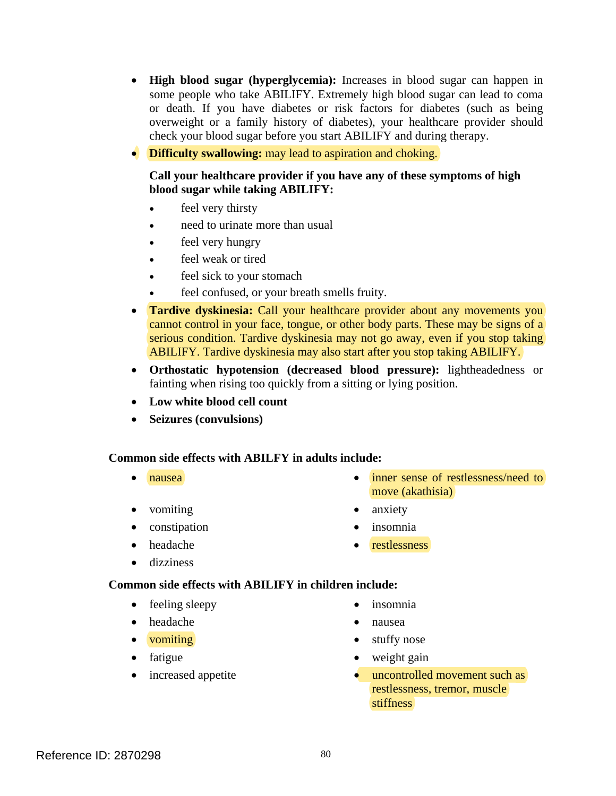- • **High blood sugar (hyperglycemia):** Increases in blood sugar can happen in some people who take ABILIFY. Extremely high blood sugar can lead to coma or death. If you have diabetes or risk factors for diabetes (such as being overweight or a family history of diabetes), your healthcare provider should check your blood sugar before you start ABILIFY and during therapy.
- • **Difficulty swallowing:** may lead to aspiration and choking.

**Call your healthcare provider if you have any of these symptoms of high blood sugar while taking ABILIFY:** 

- feel very thirsty
- need to urinate more than usual
- feel very hungry
- feel weak or tired
- feel sick to your stomach
- feel confused, or your breath smells fruity.
- **Tardive dyskinesia:** Call your healthcare provider about any movements you cannot control in your face, tongue, or other body parts. These may be signs of a serious condition. Tardive dyskinesia may not go away, even if you stop taking ABILIFY. Tardive dyskinesia may also start after you stop taking ABILIFY.
- • **Orthostatic hypotension (decreased blood pressure):** lightheadedness or fainting when rising too quickly from a sitting or lying position.
- • **Low white blood cell count**
- • **Seizures (convulsions)**

#### **Common side effects with ABILFY in adults include:**

- 
- vomiting anxiety
- constipation insomnia
- 
- dizziness

#### **Common side effects with ABILIFY in children include:**

- feeling sleepy insomnia
- • headache nausea
- 
- 
- 
- nausea inner sense of restlessness/need to move (akathisia)
	-
	-
	- **headache restlessness** 
		-
		-
- vomiting stuffy nose
- fatigue veight gain
- increased appetite  **uncontrolled movement such as** restlessness, tremor, muscle stiffness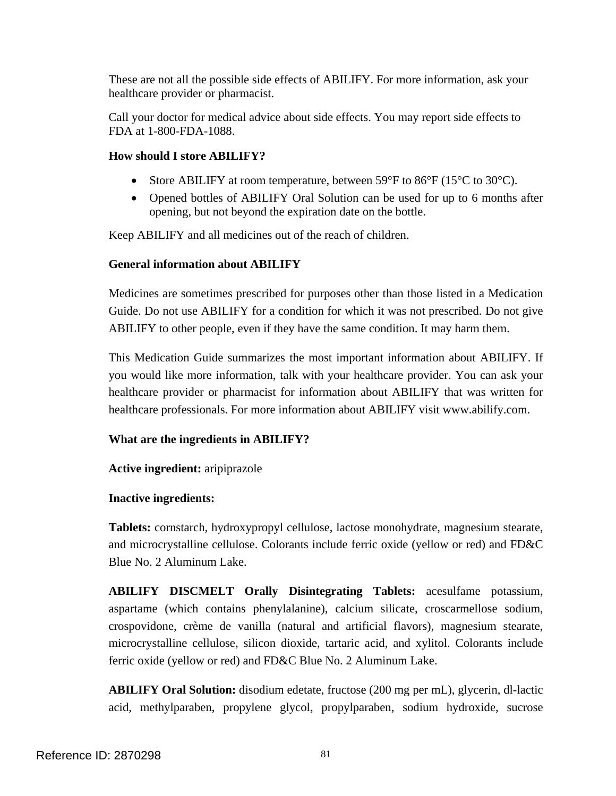These are not all the possible side effects of ABILIFY. For more information, ask your healthcare provider or pharmacist.

Call your doctor for medical advice about side effects. You may report side effects to FDA at 1-800-FDA-1088.

### **How should I store ABILIFY?**

- Store ABILIFY at room temperature, between 59 $\degree$ F to 86 $\degree$ F (15 $\degree$ C to 30 $\degree$ C).
- Opened bottles of ABILIFY Oral Solution can be used for up to 6 months after opening, but not beyond the expiration date on the bottle.

Keep ABILIFY and all medicines out of the reach of children.

### **General information about ABILIFY**

Medicines are sometimes prescribed for purposes other than those listed in a Medication Guide. Do not use ABILIFY for a condition for which it was not prescribed. Do not give ABILIFY to other people, even if they have the same condition. It may harm them.

This Medication Guide summarizes the most important information about ABILIFY. If you would like more information, talk with your healthcare provider. You can ask your healthcare provider or pharmacist for information about ABILIFY that was written for healthcare professionals. For more information about ABILIFY visit www.abilify.com.

### **What are the ingredients in ABILIFY?**

**Active ingredient:** aripiprazole

### **Inactive ingredients:**

**Tablets:** cornstarch, hydroxypropyl cellulose, lactose monohydrate, magnesium stearate, and microcrystalline cellulose. Colorants include ferric oxide (yellow or red) and FD&C Blue No. 2 Aluminum Lake.

**ABILIFY DISCMELT Orally Disintegrating Tablets:** acesulfame potassium, aspartame (which contains phenylalanine), calcium silicate, croscarmellose sodium, crospovidone, crème de vanilla (natural and artificial flavors), magnesium stearate, microcrystalline cellulose, silicon dioxide, tartaric acid, and xylitol. Colorants include ferric oxide (yellow or red) and FD&C Blue No. 2 Aluminum Lake.

**ABILIFY Oral Solution:** disodium edetate, fructose (200 mg per mL), glycerin, dl-lactic acid, methylparaben, propylene glycol, propylparaben, sodium hydroxide, sucrose